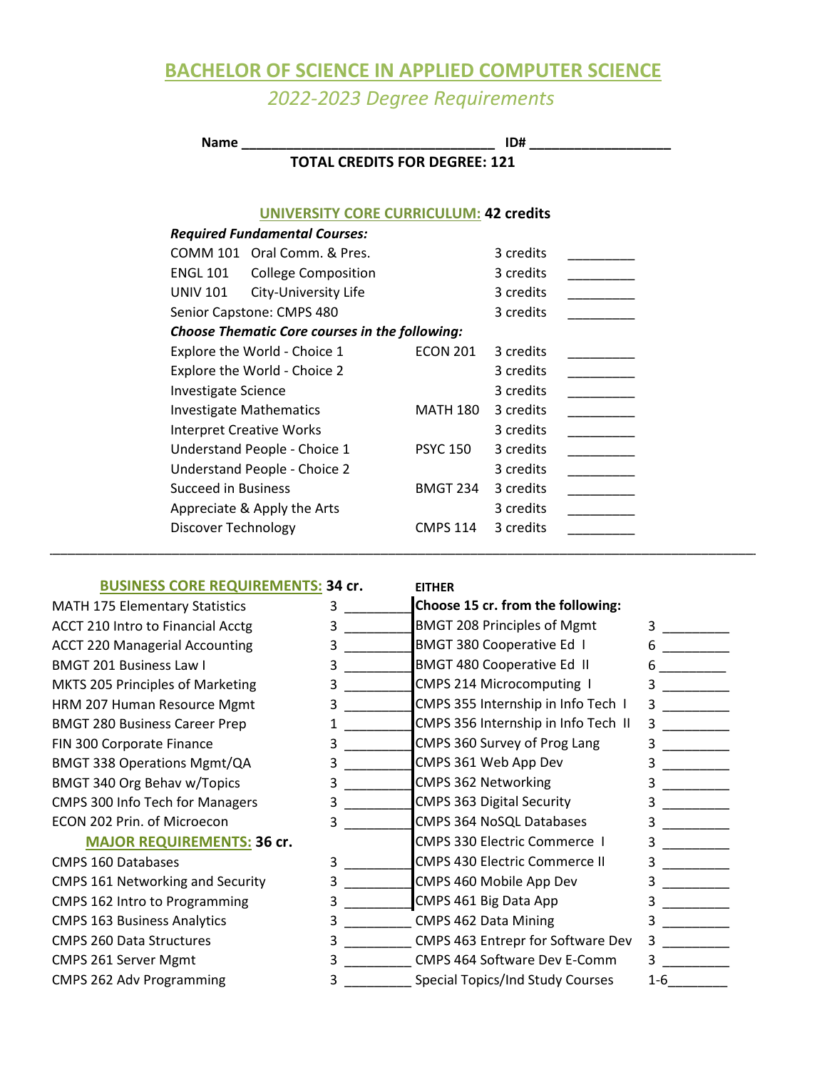## **BACHELOR OF SCIENCE IN APPLIED COMPUTER SCIENCE** *2022-2023 Degree Requirements*

**Name Name 1D#** COMM 101 Oral Comm. & Pres. 3 credits ENGL 101 College Composition 3 credits UNIV 101 City-University Life 3 credits Senior Capstone: CMPS 480 3 credits Explore the World - Choice 1 ECON 201 3 credits Explore the World - Choice 2 3 credits Investigate Science 3 credits Investigate Mathematics MATH 180 3 credits Interpret Creative Works 3 credits Understand People - Choice 1 PSYC 150 3 credits Understand People - Choice 2 3 credits \_\_\_\_\_\_\_\_\_\_ Succeed in Business BMGT 234 3 credits Appreciate & Apply the Arts 3 credits Discover Technology CMPS 114 3 credits **TOTAL CREDITS FOR DEGREE: 121 UNIVERSITY CORE CURRICULUM: 42 credits** *Choose Thematic Core courses in the following: Required Fundamental Courses:* \_\_\_\_\_\_\_\_\_\_\_\_\_\_\_\_\_\_\_\_\_\_\_\_\_\_\_\_\_\_\_\_\_\_\_\_\_\_\_\_\_\_\_\_\_\_\_\_\_\_\_\_\_\_\_\_\_\_\_\_\_\_\_\_\_\_\_\_\_\_\_\_\_\_\_\_\_\_\_\_\_\_\_\_\_\_\_\_\_\_\_\_\_\_\_\_

#### **BUSINESS CORE REQUIREMENTS: 34 cr.**

ACCT 210 Intro to Financial Acctg ACCT 220 Managerial Accounting BMGT 340 Org Behav w/Topics CMPS 300 Info Tech for Managers ECON 202 Prin. of Microecon BMGT 338 Operations Mgmt/QA BMGT 280 Business Career Prep FIN 300 Corporate Finance MATH 175 Elementary Statistics BMGT 201 Business Law I MKTS 205 Principles of Marketing HRM 207 Human Resource Mgmt

#### **MAJOR REQUIREMENTS: 36 cr.**

CMPS 163 Business Analytics CMPS 260 Data Structures CMPS 261 Server Mgmt CMPS 160 Databases CMPS 161 Networking and Security CMPS 162 Intro to Programming CMPS 262 Adv Programming

#### **EITHER**

| 3 |   | Choose 15 cr. from the following:    |     |
|---|---|--------------------------------------|-----|
| 3 |   | <b>BMGT 208 Principles of Mgmt</b>   | 3   |
| 3 |   | <b>BMGT 380 Cooperative Ed 1</b>     | 6   |
| 3 |   | <b>BMGT 480 Cooperative Ed II</b>    | 6   |
| 3 |   | CMPS 214 Microcomputing I            | 3   |
|   | 3 | CMPS 355 Internship in Info Tech I   | 3   |
|   |   | CMPS 356 Internship in Info Tech II  | 3   |
| 3 |   | CMPS 360 Survey of Prog Lang         | 3   |
| 3 |   | CMPS 361 Web App Dev                 | 3   |
| 3 |   | <b>CMPS 362 Networking</b>           | 3   |
| 3 |   | <b>CMPS 363 Digital Security</b>     | 3   |
| 3 |   | <b>CMPS 364 NoSQL Databases</b>      | 3   |
|   |   | <b>CMPS 330 Electric Commerce 1</b>  | 3   |
| 3 |   | <b>CMPS 430 Electric Commerce II</b> | 3   |
| 3 |   | CMPS 460 Mobile App Dev              | 3   |
| 3 |   | CMPS 461 Big Data App                | 3   |
|   | 3 | CMPS 462 Data Mining                 | 3   |
| 3 |   | CMPS 463 Entrepr for Software Dev    | 3   |
|   | 3 | <b>CMPS 464 Software Dev E-Comm</b>  | 3   |
|   | 3 | Special Topics/Ind Study Courses     | 1-6 |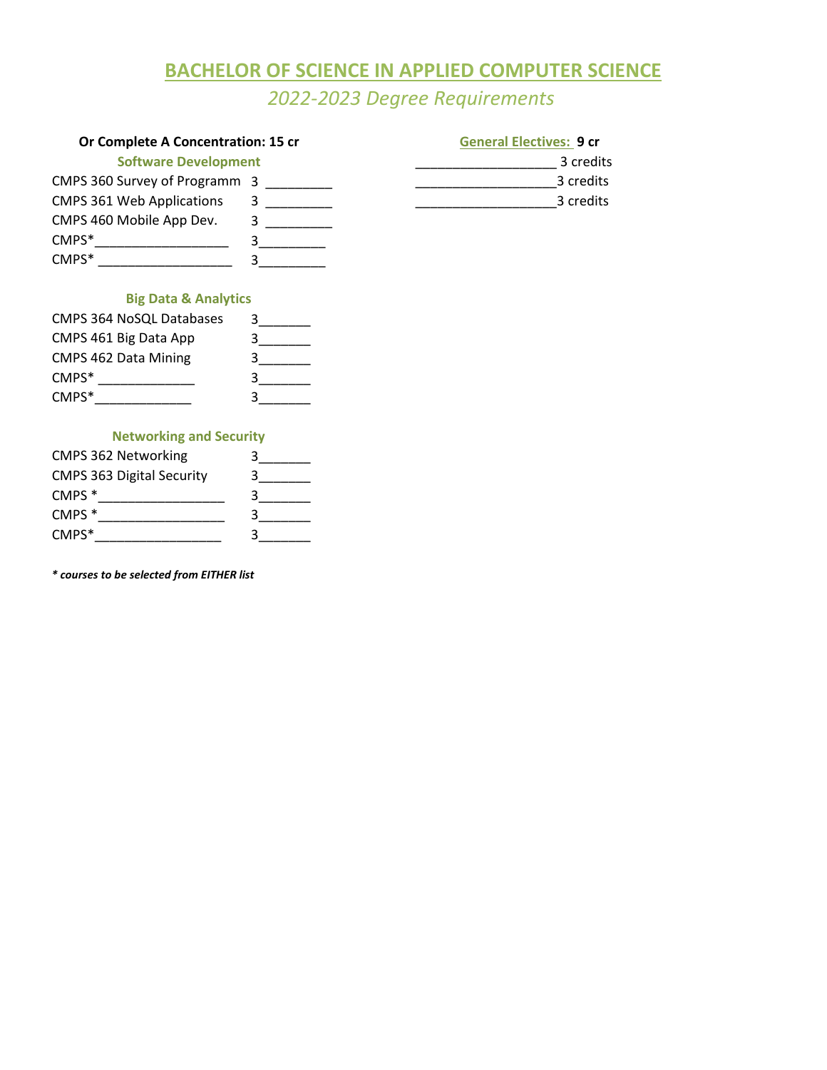# **BACHELOR OF SCIENCE IN APPLIED COMPUTER SCIENCE**

*2022-2023 Degree Requirements*

| Or Complete A Concentration: 15 cr | <b>General Electives: 9 cr</b> |           |
|------------------------------------|--------------------------------|-----------|
| <b>Software Development</b>        | 3 credits                      |           |
| CMPS 360 Survey of Programm 3      |                                | 3 credits |
| <b>CMPS 361 Web Applications</b>   |                                | 3 credits |
| CMPS 460 Mobile App Dev.           |                                |           |
| CMPS*                              |                                |           |
| CMPS*                              |                                |           |
|                                    |                                |           |

## **Big Data & Analytics**

| <b>CMPS 364 NoSQL Databases</b> | ર |
|---------------------------------|---|
| CMPS 461 Big Data App           |   |
| <b>CMPS 462 Data Mining</b>     |   |
| $CMPS*$                         |   |
| $CMPS*$                         |   |

### **Networking and Security**

| <b>CMPS 362 Networking</b>       |   |
|----------------------------------|---|
| <b>CMPS 363 Digital Security</b> |   |
| CMPS <sup>*</sup>                | 3 |
| CMPS <sup>*</sup>                |   |
| $CMPS*$                          |   |

*\* courses to be selected from EITHER list*